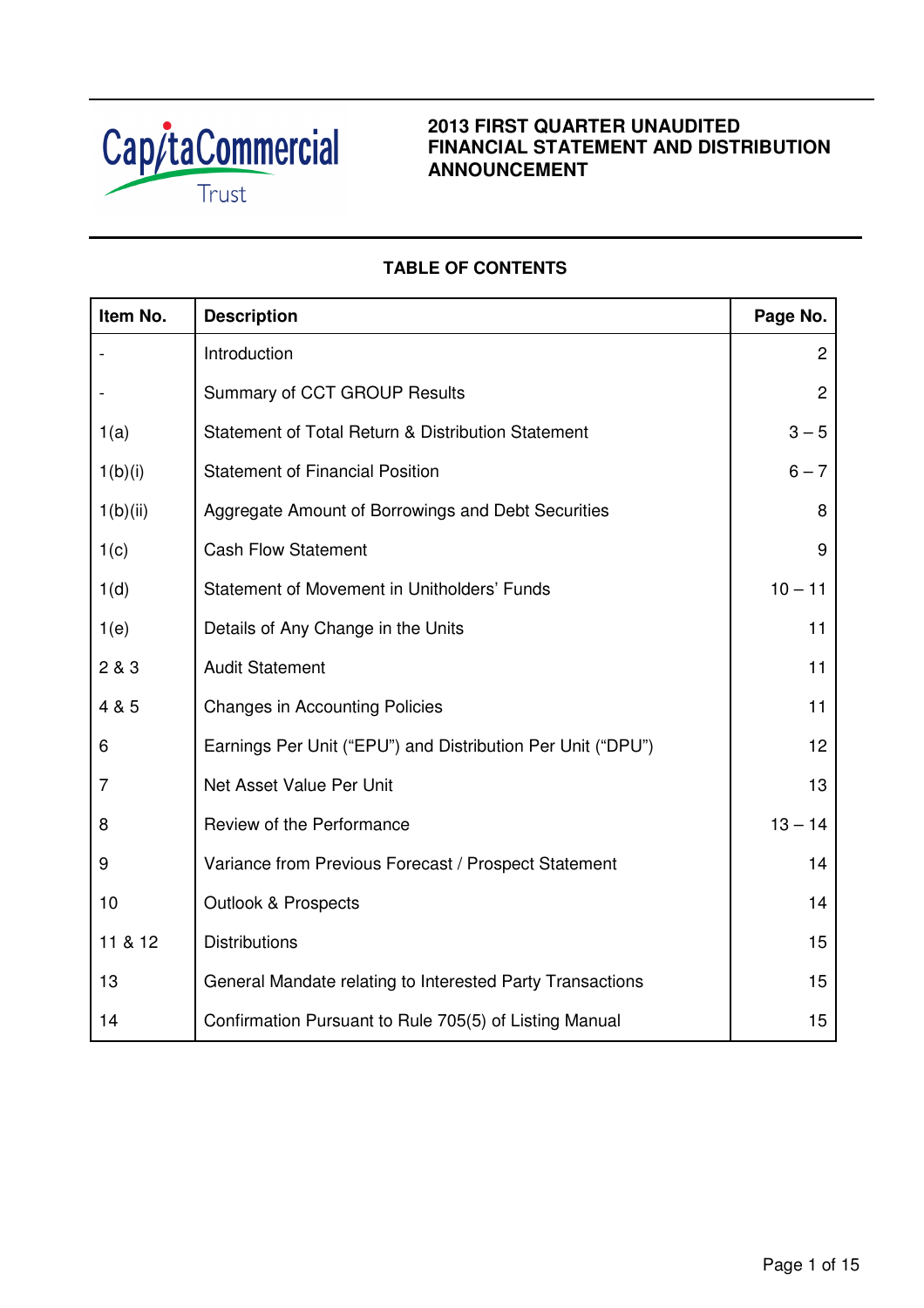

# **2013 FIRST QUARTER UNAUDITED FINANCIAL STATEMENT AND DISTRIBUTION ANNOUNCEMENT**

# **TABLE OF CONTENTS**

| Item No.       | <b>Description</b>                                          | Page No.       |
|----------------|-------------------------------------------------------------|----------------|
|                | Introduction                                                | $\overline{2}$ |
|                | Summary of CCT GROUP Results                                | $\overline{2}$ |
| 1(a)           | Statement of Total Return & Distribution Statement          | $3 - 5$        |
| 1(b)(i)        | <b>Statement of Financial Position</b>                      | $6 - 7$        |
| 1(b)(ii)       | Aggregate Amount of Borrowings and Debt Securities          | 8              |
| 1(c)           | <b>Cash Flow Statement</b>                                  | 9              |
| 1(d)           | Statement of Movement in Unitholders' Funds                 | $10 - 11$      |
| 1(e)           | Details of Any Change in the Units                          | 11             |
| 2 & 3          | <b>Audit Statement</b>                                      | 11             |
| 4 & 5          | <b>Changes in Accounting Policies</b>                       | 11             |
| 6              | Earnings Per Unit ("EPU") and Distribution Per Unit ("DPU") | 12             |
| $\overline{7}$ | Net Asset Value Per Unit                                    | 13             |
| 8              | Review of the Performance                                   | $13 - 14$      |
| 9              | Variance from Previous Forecast / Prospect Statement        | 14             |
| 10             | <b>Outlook &amp; Prospects</b>                              | 14             |
| 11 & 12        | <b>Distributions</b>                                        | 15             |
| 13             | General Mandate relating to Interested Party Transactions   | 15             |
| 14             | Confirmation Pursuant to Rule 705(5) of Listing Manual      | 15             |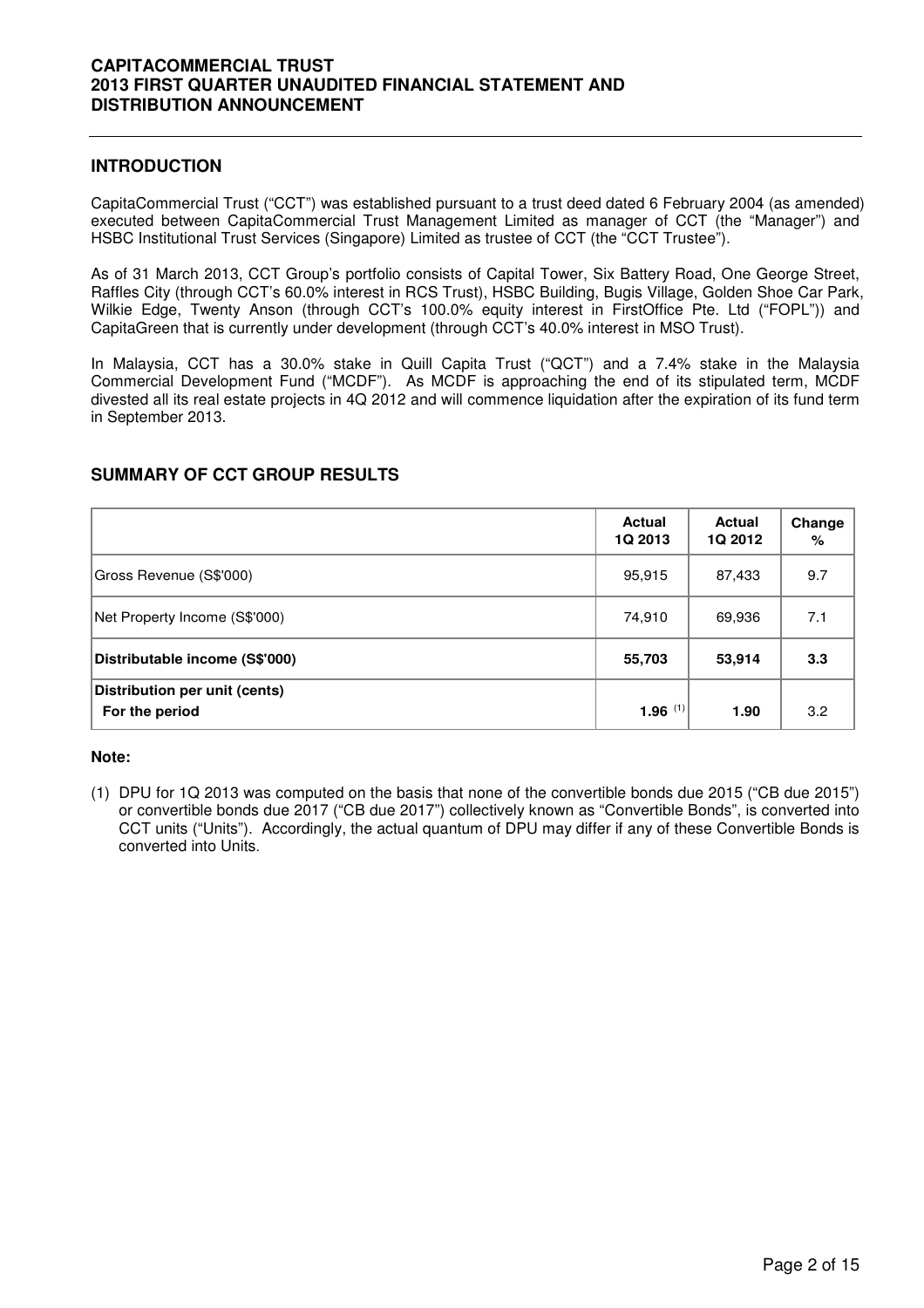## **INTRODUCTION**

CapitaCommercial Trust ("CCT") was established pursuant to a trust deed dated 6 February 2004 (as amended) executed between CapitaCommercial Trust Management Limited as manager of CCT (the "Manager") and HSBC Institutional Trust Services (Singapore) Limited as trustee of CCT (the "CCT Trustee").

As of 31 March 2013, CCT Group's portfolio consists of Capital Tower, Six Battery Road, One George Street, Raffles City (through CCT's 60.0% interest in RCS Trust), HSBC Building, Bugis Village, Golden Shoe Car Park, Wilkie Edge, Twenty Anson (through CCT's 100.0% equity interest in FirstOffice Pte. Ltd ("FOPL")) and CapitaGreen that is currently under development (through CCT's 40.0% interest in MSO Trust).

In Malaysia, CCT has a 30.0% stake in Quill Capita Trust ("QCT") and a 7.4% stake in the Malaysia Commercial Development Fund ("MCDF"). As MCDF is approaching the end of its stipulated term, MCDF divested all its real estate projects in 4Q 2012 and will commence liquidation after the expiration of its fund term in September 2013.

|                                                 | Actual<br>1Q 2013 | Actual<br>1Q 2012 | Change<br>% |
|-------------------------------------------------|-------------------|-------------------|-------------|
| Gross Revenue (S\$'000)                         | 95,915            | 87,433            | 9.7         |
| Net Property Income (S\$'000)                   | 74,910            | 69,936            | 7.1         |
| Distributable income (S\$'000)                  | 55,703            | 53,914            | 3.3         |
| Distribution per unit (cents)<br>For the period | 1.96 $(1)$        | 1.90              | 3.2         |

## **SUMMARY OF CCT GROUP RESULTS**

### **Note:**

(1) DPU for 1Q 2013 was computed on the basis that none of the convertible bonds due 2015 ("CB due 2015") or convertible bonds due 2017 ("CB due 2017") collectively known as "Convertible Bonds", is converted into CCT units ("Units"). Accordingly, the actual quantum of DPU may differ if any of these Convertible Bonds is converted into Units.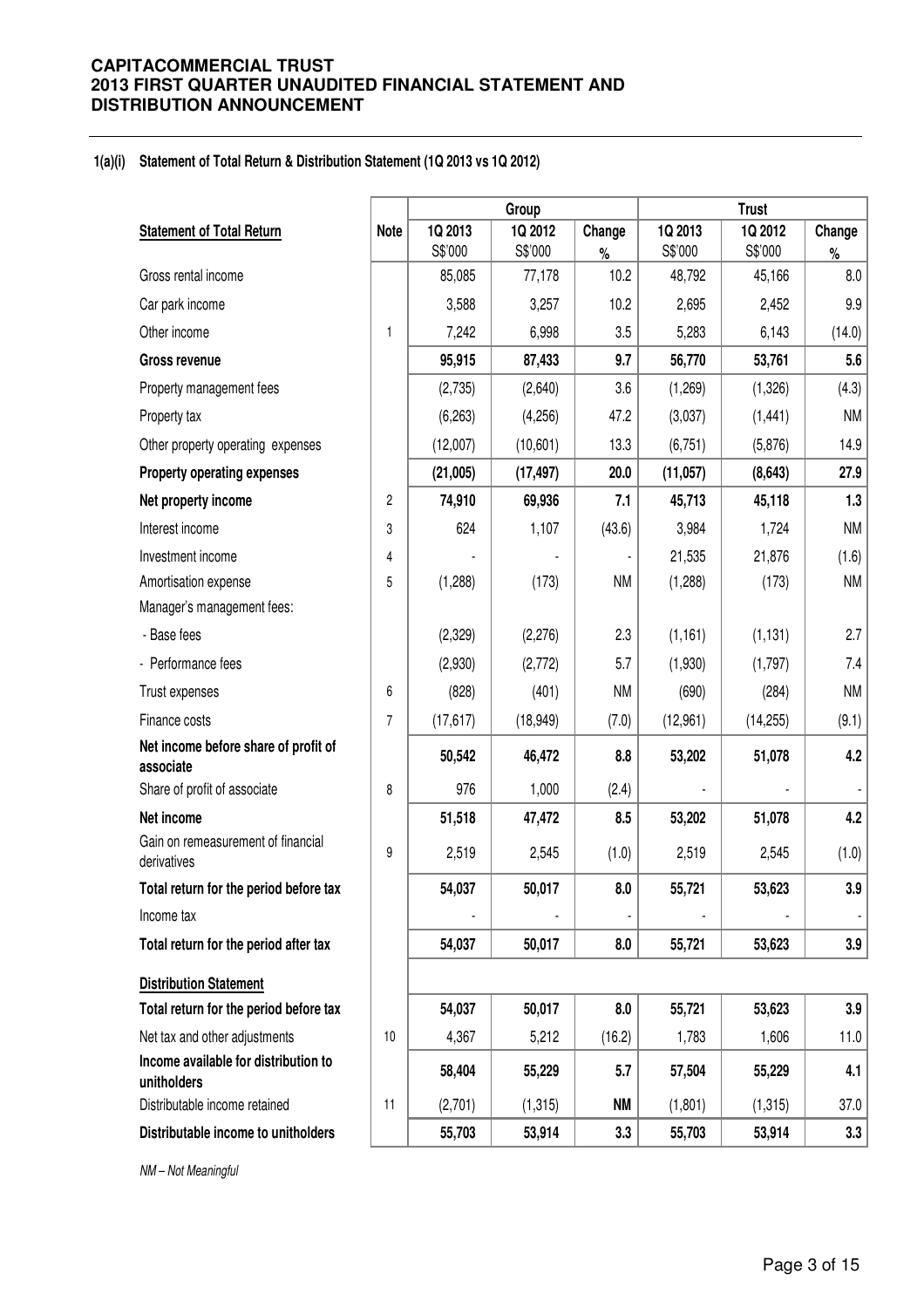#### **1(a)(i) Statement of Total Return & Distribution Statement (1Q 2013 vs 1Q 2012)**

|                                                     |                |                   | Group     |              |                   | <b>Trust</b>      |             |
|-----------------------------------------------------|----------------|-------------------|-----------|--------------|-------------------|-------------------|-------------|
| <b>Statement of Total Return</b>                    | <b>Note</b>    | 1Q 2013           | 1Q 2012   | Change       | 1Q 2013           | 1Q 2012           | Change      |
| Gross rental income                                 |                | S\$'000<br>85,085 | S\$'000   | $\%$<br>10.2 | S\$'000<br>48,792 | S\$'000<br>45,166 | $\%$<br>8.0 |
|                                                     |                |                   | 77,178    |              |                   |                   |             |
| Car park income                                     |                | 3,588             | 3,257     | 10.2         | 2,695             | 2,452             | 9.9         |
| Other income                                        | 1              | 7,242             | 6,998     | 3.5          | 5,283             | 6,143             | (14.0)      |
| <b>Gross revenue</b>                                |                | 95,915            | 87,433    | 9.7          | 56,770            | 53,761            | 5.6         |
| Property management fees                            |                | (2,735)           | (2,640)   | 3.6          | (1,269)           | (1,326)           | (4.3)       |
| Property tax                                        |                | (6, 263)          | (4,256)   | 47.2         | (3,037)           | (1, 441)          | <b>NM</b>   |
| Other property operating expenses                   |                | (12,007)          | (10,601)  | 13.3         | (6, 751)          | (5,876)           | 14.9        |
| <b>Property operating expenses</b>                  |                | (21,005)          | (17, 497) | 20.0         | (11, 057)         | (8,643)           | 27.9        |
| Net property income                                 | $\sqrt{2}$     | 74,910            | 69,936    | 7.1          | 45,713            | 45,118            | 1.3         |
| Interest income                                     | 3              | 624               | 1,107     | (43.6)       | 3,984             | 1,724             | <b>NM</b>   |
| Investment income                                   | 4              |                   |           |              | 21,535            | 21,876            | (1.6)       |
| Amortisation expense                                | 5              | (1,288)           | (173)     | <b>NM</b>    | (1,288)           | (173)             | <b>NM</b>   |
| Manager's management fees:                          |                |                   |           |              |                   |                   |             |
| - Base fees                                         |                | (2,329)           | (2,276)   | 2.3          | (1, 161)          | (1, 131)          | 2.7         |
| - Performance fees                                  |                | (2,930)           | (2,772)   | 5.7          | (1,930)           | (1,797)           | 7.4         |
| Trust expenses                                      | $6\,$          | (828)             | (401)     | <b>NM</b>    | (690)             | (284)             | <b>NM</b>   |
| Finance costs                                       | $\overline{7}$ | (17, 617)         | (18, 949) | (7.0)        | (12,961)          | (14, 255)         | (9.1)       |
| Net income before share of profit of<br>associate   |                | 50,542            | 46,472    | 8.8          | 53,202            | 51,078            | 4.2         |
| Share of profit of associate                        | 8              | 976               | 1,000     | (2.4)        |                   |                   |             |
| Net income                                          |                | 51,518            | 47,472    | 8.5          | 53,202            | 51,078            | 4.2         |
| Gain on remeasurement of financial<br>derivatives   | 9              | 2,519             | 2,545     | (1.0)        | 2,519             | 2,545             | (1.0)       |
| Total return for the period before tax              |                | 54,037            | 50,017    | 8.0          | 55.721            | 53.623            | 3.9         |
| Income tax                                          |                |                   |           |              |                   |                   |             |
| Total return for the period after tax               |                | 54,037            | 50,017    | 8.0          | 55,721            | 53,623            | 3.9         |
| <b>Distribution Statement</b>                       |                |                   |           |              |                   |                   |             |
| Total return for the period before tax              |                | 54,037            | 50,017    | 8.0          | 55,721            | 53,623            | 3.9         |
| Net tax and other adjustments                       | $10$           | 4,367             | 5,212     | (16.2)       | 1,783             | 1,606             | 11.0        |
| Income available for distribution to<br>unitholders |                | 58,404            | 55,229    | 5.7          | 57,504            | 55,229            | 4.1         |
| Distributable income retained                       | 11             | (2,701)           | (1, 315)  | <b>NM</b>    | (1,801)           | (1, 315)          | 37.0        |
| Distributable income to unitholders                 |                | 55,703            | 53,914    | 3.3          | 55,703            | 53,914            | 3.3         |

NM – Not Meaningful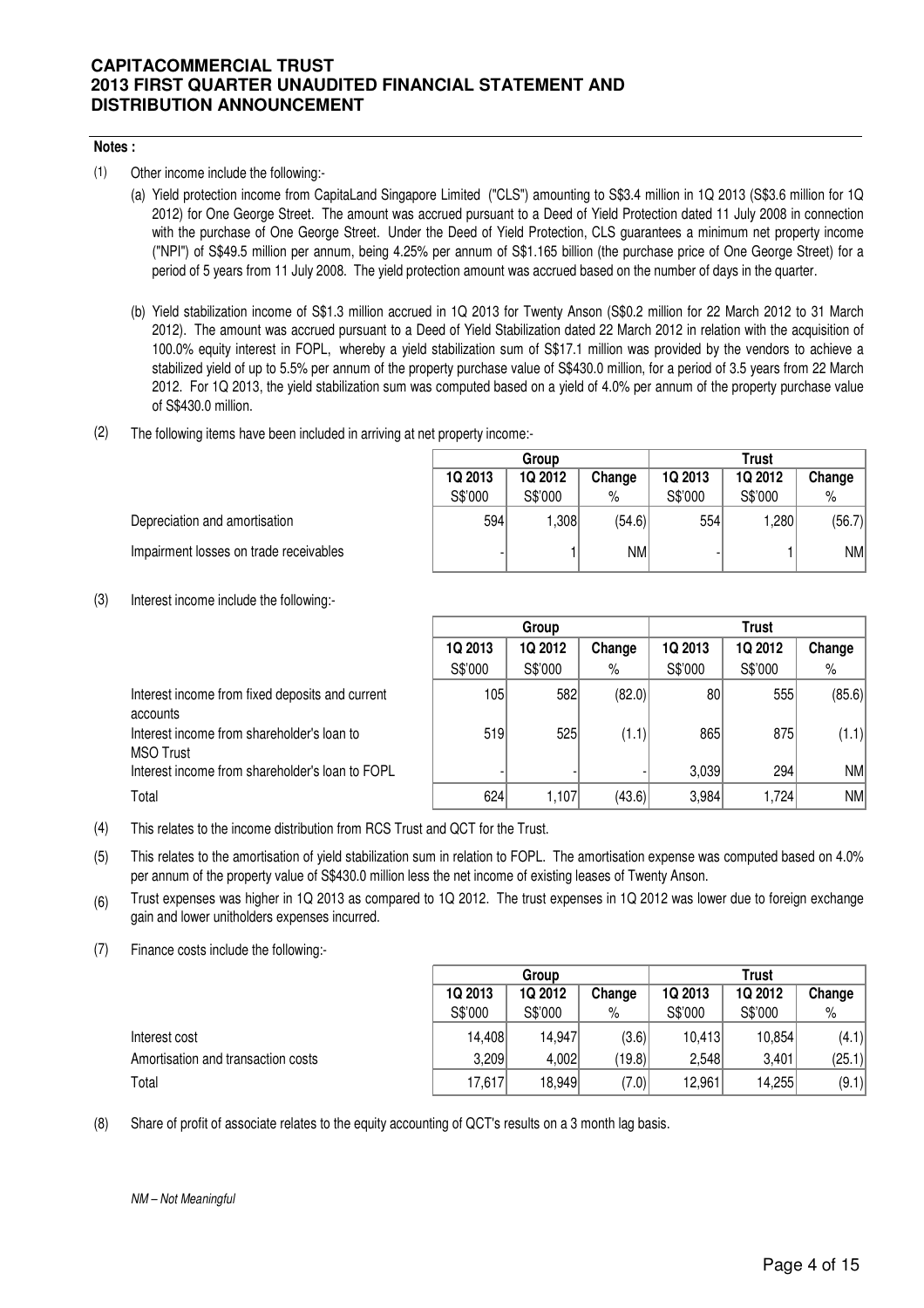## **Notes :**

- (1) Other income include the following:-
	- (a) Yield protection income from CapitaLand Singapore Limited ("CLS") amounting to S\$3.4 million in 1Q 2013 (S\$3.6 million for 1Q 2012) for One George Street. The amount was accrued pursuant to a Deed of Yield Protection dated 11 July 2008 in connection with the purchase of One George Street. Under the Deed of Yield Protection, CLS guarantees a minimum net property income ("NPI") of S\$49.5 million per annum, being 4.25% per annum of S\$1.165 billion (the purchase price of One George Street) for a period of 5 years from 11 July 2008. The yield protection amount was accrued based on the number of days in the quarter.
	- (b) Yield stabilization income of S\$1.3 million accrued in 1Q 2013 for Twenty Anson (S\$0.2 million for 22 March 2012 to 31 March 2012). The amount was accrued pursuant to a Deed of Yield Stabilization dated 22 March 2012 in relation with the acquisition of 100.0% equity interest in FOPL, whereby a yield stabilization sum of S\$17.1 million was provided by the vendors to achieve a stabilized yield of up to 5.5% per annum of the property purchase value of S\$430.0 million, for a period of 3.5 years from 22 March 2012. For 1Q 2013, the yield stabilization sum was computed based on a yield of 4.0% per annum of the property purchase value of S\$430.0 million.
- (2) The following items have been included in arriving at net property income:-

|                                        | Group                        |         |         | <b>Trust</b> |         |        |  |
|----------------------------------------|------------------------------|---------|---------|--------------|---------|--------|--|
|                                        | 1Q 2013<br>1Q 2012<br>Change |         | 1Q 2013 | 1Q 2012      | Change  |        |  |
|                                        | S\$'000                      | S\$'000 | %       | S\$'000      | S\$'000 | $\%$   |  |
| Depreciation and amortisation          | 594                          | .308    | (54.6)  | 554          | ,280    | (56.7) |  |
| Impairment losses on trade receivables |                              |         | NM      |              |         | NM     |  |

(3) Interest income include the following:-

|                                                                | Group   |         |        |         |         |        |
|----------------------------------------------------------------|---------|---------|--------|---------|---------|--------|
|                                                                | 1Q 2013 | 1Q 2012 | Change | 1Q 2013 | 1Q 2012 | Change |
|                                                                | S\$'000 | S\$'000 | %      | S\$'000 | S\$'000 | %      |
| Interest income from fixed deposits and current<br>accounts    | 105     | 582     | (82.0) | 80      | 555     | (85.6) |
| Interest income from shareholder's loan to<br><b>MSO Trust</b> | 519     | 525     | (1.1)  | 865     | 875     | (1.1)  |
| Interest income from shareholder's loan to FOPL                |         |         |        | 3,039   | 294     | NM     |
| Total                                                          | 624     | 1,107   | (43.6) | 3,984   | 1,724   | NM     |

(4) This relates to the income distribution from RCS Trust and QCT for the Trust.

(5) This relates to the amortisation of yield stabilization sum in relation to FOPL. The amortisation expense was computed based on 4.0% per annum of the property value of S\$430.0 million less the net income of existing leases of Twenty Anson.

(6) Trust expenses was higher in 1Q 2013 as compared to 1Q 2012. The trust expenses in 1Q 2012 was lower due to foreign exchange gain and lower unitholders expenses incurred.

(7) Finance costs include the following:-

|                                    | Group   |         |        |         | Trust   |        |
|------------------------------------|---------|---------|--------|---------|---------|--------|
|                                    | 1Q 2013 | 1Q 2012 | Change | 1Q 2013 | 1Q 2012 | Change |
|                                    | S\$'000 | S\$'000 | %      | S\$'000 | S\$'000 | %      |
| Interest cost                      | 14,408  | 14,947  | (3.6)  | 10,413  | 10,854  | (4.1)  |
| Amortisation and transaction costs | 3,209   | 4,002   | (19.8) | 2.548   | 3,401   | (25.1) |
| Total                              | 17,617  | 18,949  | (7.0)  | 12,961  | 14,255  | (9.1)  |

(8) Share of profit of associate relates to the equity accounting of QCT's results on a 3 month lag basis.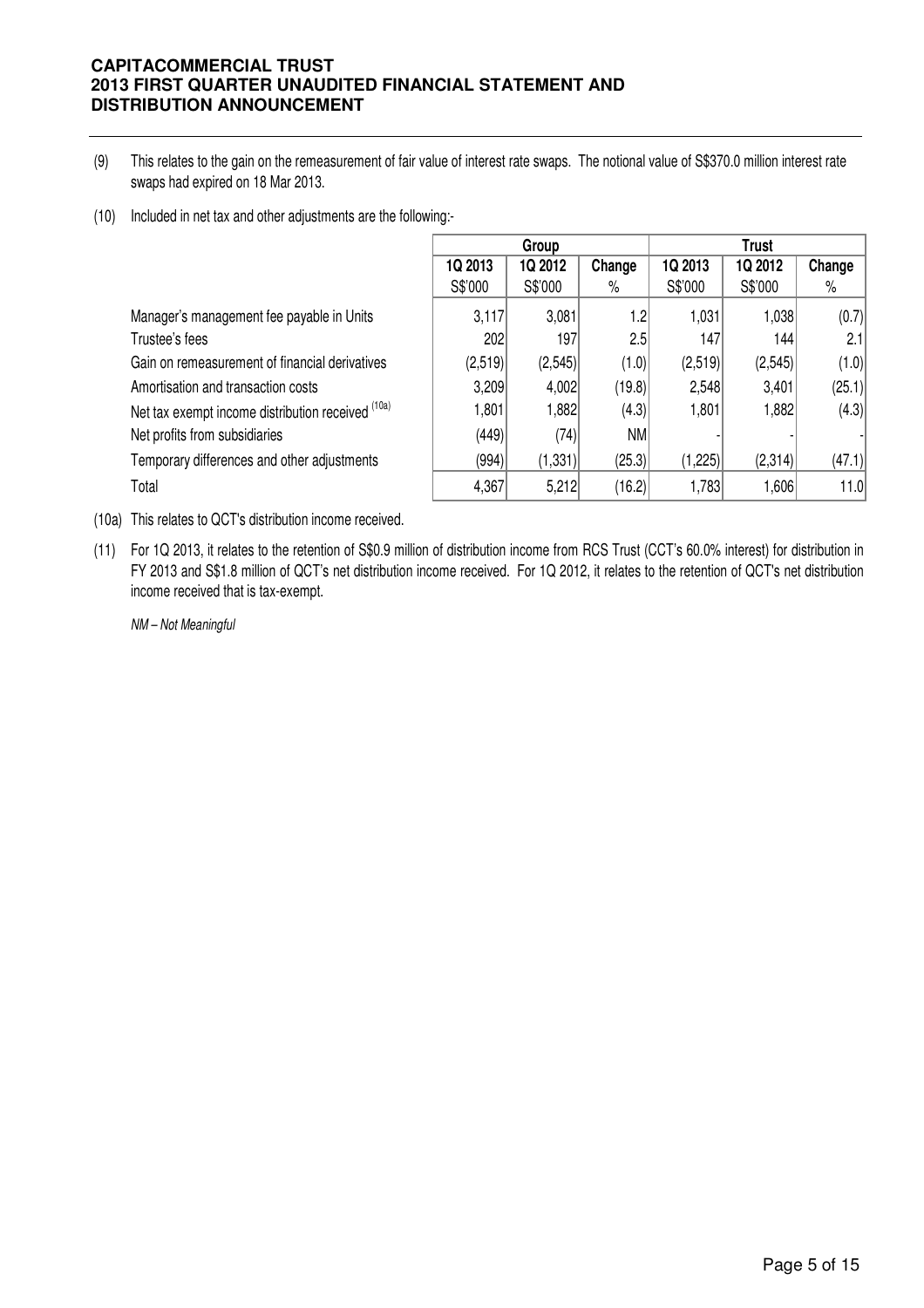- (9) This relates to the gain on the remeasurement of fair value of interest rate swaps. The notional value of S\$370.0 million interest rate swaps had expired on 18 Mar 2013.
- (10) Included in net tax and other adjustments are the following:-

|                                                   | Group   |          |           |         | <b>Trust</b> |        |  |
|---------------------------------------------------|---------|----------|-----------|---------|--------------|--------|--|
|                                                   | 1Q 2013 | 1Q 2012  | Change    | 1Q 2013 | 1Q 2012      | Change |  |
|                                                   | S\$'000 | S\$'000  | $\%$      | S\$'000 | S\$'000      | %      |  |
| Manager's management fee payable in Units         | 3,117   | 3,081    | 1.2       | 1,031   | 1,038        | (0.7)  |  |
| Trustee's fees                                    | 202     | 197      | 2.5       | 147     | 144          | 2.1    |  |
| Gain on remeasurement of financial derivatives    | (2,519) | (2,545)  | (1.0)     | (2,519) | (2,545)      | (1.0)  |  |
| Amortisation and transaction costs                | 3,209   | 4,002    | (19.8)    | 2,548   | 3,401        | (25.1) |  |
| Net tax exempt income distribution received (10a) | 1,801   | 1,882    | (4.3)     | 1,801   | 1,882        | (4.3)  |  |
| Net profits from subsidiaries                     | (449)   | (74)     | <b>NM</b> |         |              |        |  |
| Temporary differences and other adjustments       | (994)   | (1, 331) | (25.3)    | (1,225) | (2,314)      | (47.1) |  |
| Total                                             | 4,367   | 5,212    | (16.2)    | 1,783   | 1,606        | 11.0   |  |

(10a) This relates to QCT's distribution income received.

(11) For 1Q 2013, it relates to the retention of S\$0.9 million of distribution income from RCS Trust (CCT's 60.0% interest) for distribution in FY 2013 and S\$1.8 million of QCT's net distribution income received. For 1Q 2012, it relates to the retention of QCT's net distribution income received that is tax-exempt.

NM – Not Meaningful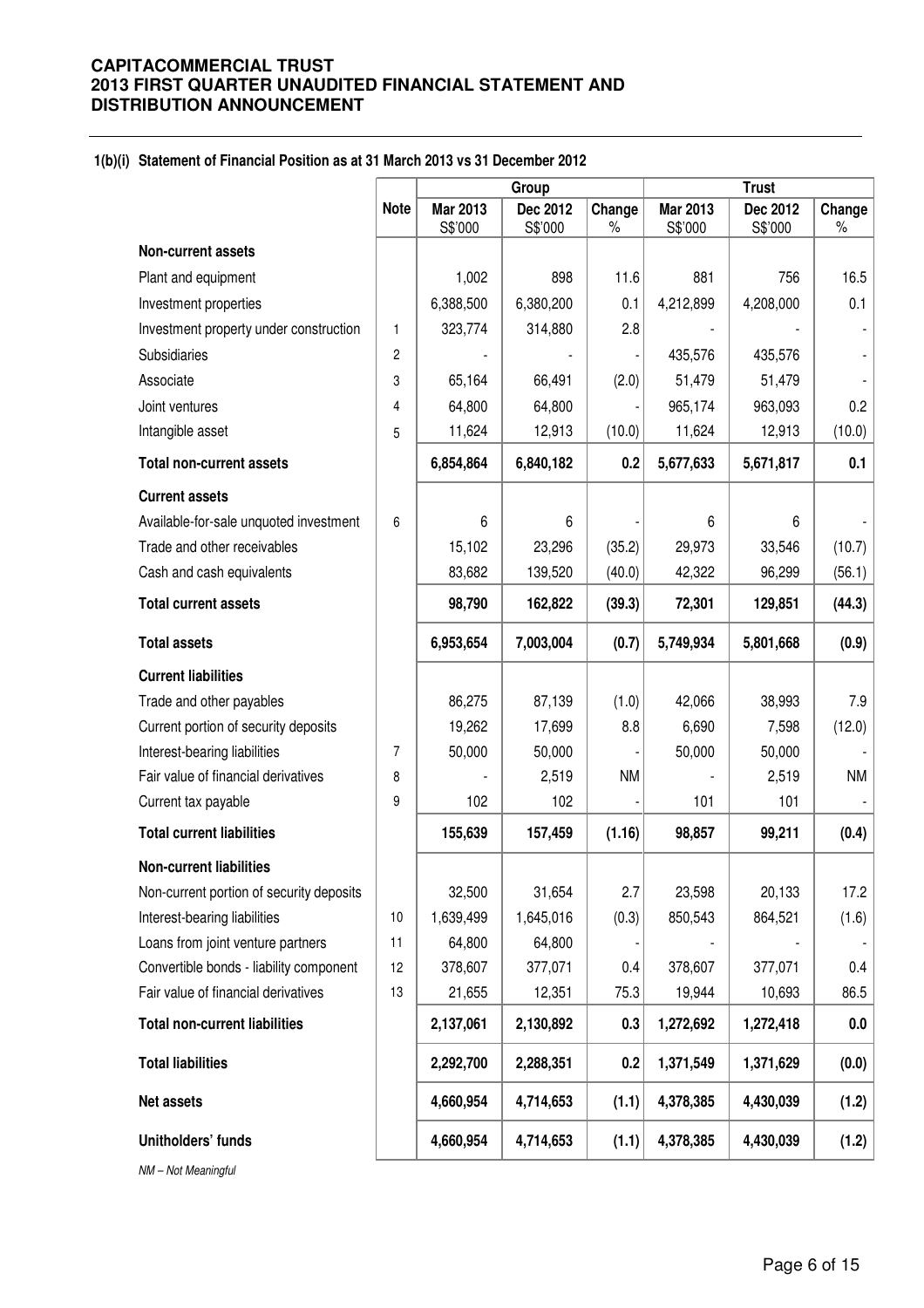#### **1(b)(i) Statement of Financial Position as at 31 March 2013 vs 31 December 2012**

|                                          |                |                     | Group               |                | <b>Trust</b>        |                     |                |
|------------------------------------------|----------------|---------------------|---------------------|----------------|---------------------|---------------------|----------------|
|                                          | <b>Note</b>    | Mar 2013<br>S\$'000 | Dec 2012<br>S\$'000 | Change<br>$\%$ | Mar 2013<br>S\$'000 | Dec 2012<br>S\$'000 | Change<br>$\%$ |
| <b>Non-current assets</b>                |                |                     |                     |                |                     |                     |                |
| Plant and equipment                      |                | 1,002               | 898                 | 11.6           | 881                 | 756                 | 16.5           |
| Investment properties                    |                | 6,388,500           | 6,380,200           | 0.1            | 4,212,899           | 4,208,000           | 0.1            |
| Investment property under construction   | 1              | 323,774             | 314,880             | 2.8            |                     |                     |                |
| <b>Subsidiaries</b>                      | 2              |                     |                     |                | 435,576             | 435,576             |                |
| Associate                                | 3              | 65,164              | 66,491              | (2.0)          | 51,479              | 51,479              |                |
| Joint ventures                           | 4              | 64,800              | 64,800              |                | 965,174             | 963,093             | 0.2            |
| Intangible asset                         | 5              | 11,624              | 12,913              | (10.0)         | 11,624              | 12,913              | (10.0)         |
| <b>Total non-current assets</b>          |                | 6,854,864           | 6,840,182           | 0.2            | 5,677,633           | 5,671,817           | 0.1            |
| <b>Current assets</b>                    |                |                     |                     |                |                     |                     |                |
| Available-for-sale unquoted investment   | 6              | 6                   | 6                   |                | 6                   | 6                   |                |
| Trade and other receivables              |                | 15,102              | 23,296              | (35.2)         | 29,973              | 33,546              | (10.7)         |
| Cash and cash equivalents                |                | 83,682              | 139,520             | (40.0)         | 42,322              | 96,299              | (56.1)         |
| <b>Total current assets</b>              |                | 98,790              | 162,822             | (39.3)         | 72,301              | 129,851             | (44.3)         |
| <b>Total assets</b>                      |                | 6,953,654           | 7,003,004           | (0.7)          | 5,749,934           | 5,801,668           | (0.9)          |
| <b>Current liabilities</b>               |                |                     |                     |                |                     |                     |                |
| Trade and other payables                 |                | 86,275              | 87,139              | (1.0)          | 42,066              | 38,993              | 7.9            |
| Current portion of security deposits     |                | 19,262              | 17,699              | 8.8            | 6,690               | 7,598               | (12.0)         |
| Interest-bearing liabilities             | $\overline{7}$ | 50,000              | 50,000              |                | 50,000              | 50,000              |                |
| Fair value of financial derivatives      | 8              |                     | 2,519               | <b>NM</b>      |                     | 2,519               | NM             |
| Current tax payable                      | 9              | 102                 | 102                 |                | 101                 | 101                 |                |
| <b>Total current liabilities</b>         |                | 155,639             | 157,459             | (1.16)         | 98,857              | 99,211              | (0.4)          |
| <b>Non-current liabilities</b>           |                |                     |                     |                |                     |                     |                |
| Non-current portion of security deposits |                | 32,500              | 31,654              | 2.7            | 23,598              | 20,133              | 17.2           |
| Interest-bearing liabilities             | 10             | 1,639,499           | 1,645,016           | (0.3)          | 850,543             | 864,521             | (1.6)          |
| Loans from joint venture partners        | 11             | 64,800              | 64,800              |                |                     |                     |                |
| Convertible bonds - liability component  | 12             | 378,607             | 377,071             | 0.4            | 378,607             | 377,071             | $0.4\,$        |
| Fair value of financial derivatives      | 13             | 21,655              | 12,351              | 75.3           | 19,944              | 10,693              | 86.5           |
| <b>Total non-current liabilities</b>     |                | 2,137,061           | 2,130,892           | 0.3            | 1,272,692           | 1,272,418           | 0.0            |
| <b>Total liabilities</b>                 |                | 2,292,700           | 2,288,351           | 0.2            | 1,371,549           | 1,371,629           | (0.0)          |
| Net assets                               |                | 4,660,954           | 4,714,653           | (1.1)          | 4,378,385           | 4,430,039           | (1.2)          |
| Unitholders' funds                       |                | 4,660,954           | 4,714,653           | (1.1)          | 4,378,385           | 4,430,039           | (1.2)          |

NM – Not Meaningful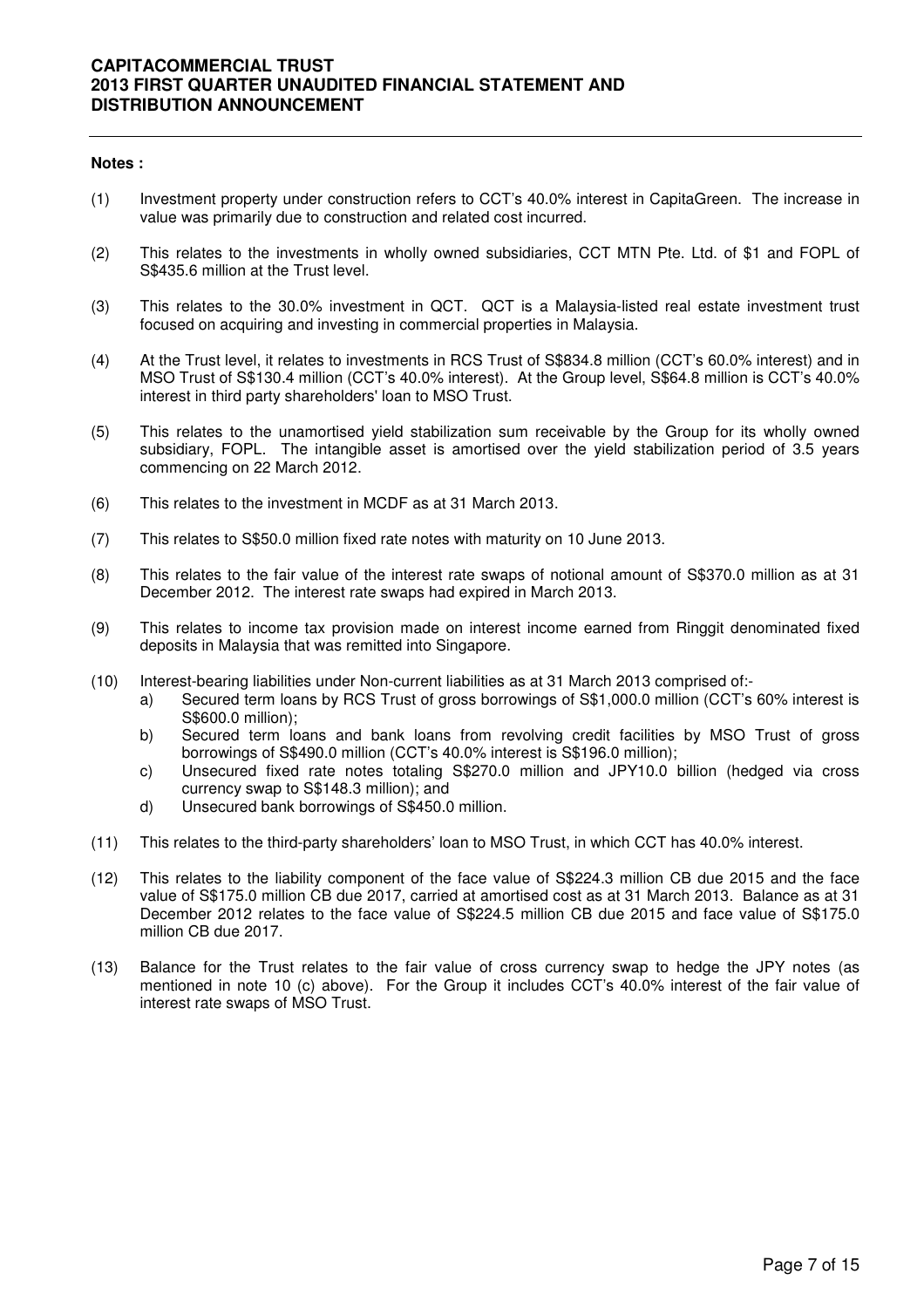#### **Notes :**

- (1) Investment property under construction refers to CCT's 40.0% interest in CapitaGreen. The increase in value was primarily due to construction and related cost incurred.
- (2) This relates to the investments in wholly owned subsidiaries, CCT MTN Pte. Ltd. of \$1 and FOPL of S\$435.6 million at the Trust level.
- (3) This relates to the 30.0% investment in QCT. QCT is a Malaysia-listed real estate investment trust focused on acquiring and investing in commercial properties in Malaysia.
- (4) At the Trust level, it relates to investments in RCS Trust of S\$834.8 million (CCT's 60.0% interest) and in MSO Trust of S\$130.4 million (CCT's 40.0% interest). At the Group level, S\$64.8 million is CCT's 40.0% interest in third party shareholders' loan to MSO Trust.
- (5) This relates to the unamortised yield stabilization sum receivable by the Group for its wholly owned subsidiary, FOPL. The intangible asset is amortised over the yield stabilization period of 3.5 years commencing on 22 March 2012.
- (6) This relates to the investment in MCDF as at 31 March 2013.
- (7) This relates to S\$50.0 million fixed rate notes with maturity on 10 June 2013.
- (8) This relates to the fair value of the interest rate swaps of notional amount of S\$370.0 million as at 31 December 2012. The interest rate swaps had expired in March 2013.
- (9) This relates to income tax provision made on interest income earned from Ringgit denominated fixed deposits in Malaysia that was remitted into Singapore.
- (10) Interest-bearing liabilities under Non-current liabilities as at 31 March 2013 comprised of:
	- a) Secured term loans by RCS Trust of gross borrowings of S\$1,000.0 million (CCT's 60% interest is S\$600.0 million);
	- b) Secured term loans and bank loans from revolving credit facilities by MSO Trust of gross borrowings of S\$490.0 million (CCT's 40.0% interest is S\$196.0 million);
	- c) Unsecured fixed rate notes totaling S\$270.0 million and JPY10.0 billion (hedged via cross currency swap to S\$148.3 million); and
	- d) Unsecured bank borrowings of S\$450.0 million.
- (11) This relates to the third-party shareholders' loan to MSO Trust, in which CCT has 40.0% interest.
- (12) This relates to the liability component of the face value of S\$224.3 million CB due 2015 and the face value of S\$175.0 million CB due 2017, carried at amortised cost as at 31 March 2013. Balance as at 31 December 2012 relates to the face value of S\$224.5 million CB due 2015 and face value of S\$175.0 million CB due 2017.
- (13) Balance for the Trust relates to the fair value of cross currency swap to hedge the JPY notes (as mentioned in note 10 (c) above). For the Group it includes CCT's 40.0% interest of the fair value of interest rate swaps of MSO Trust.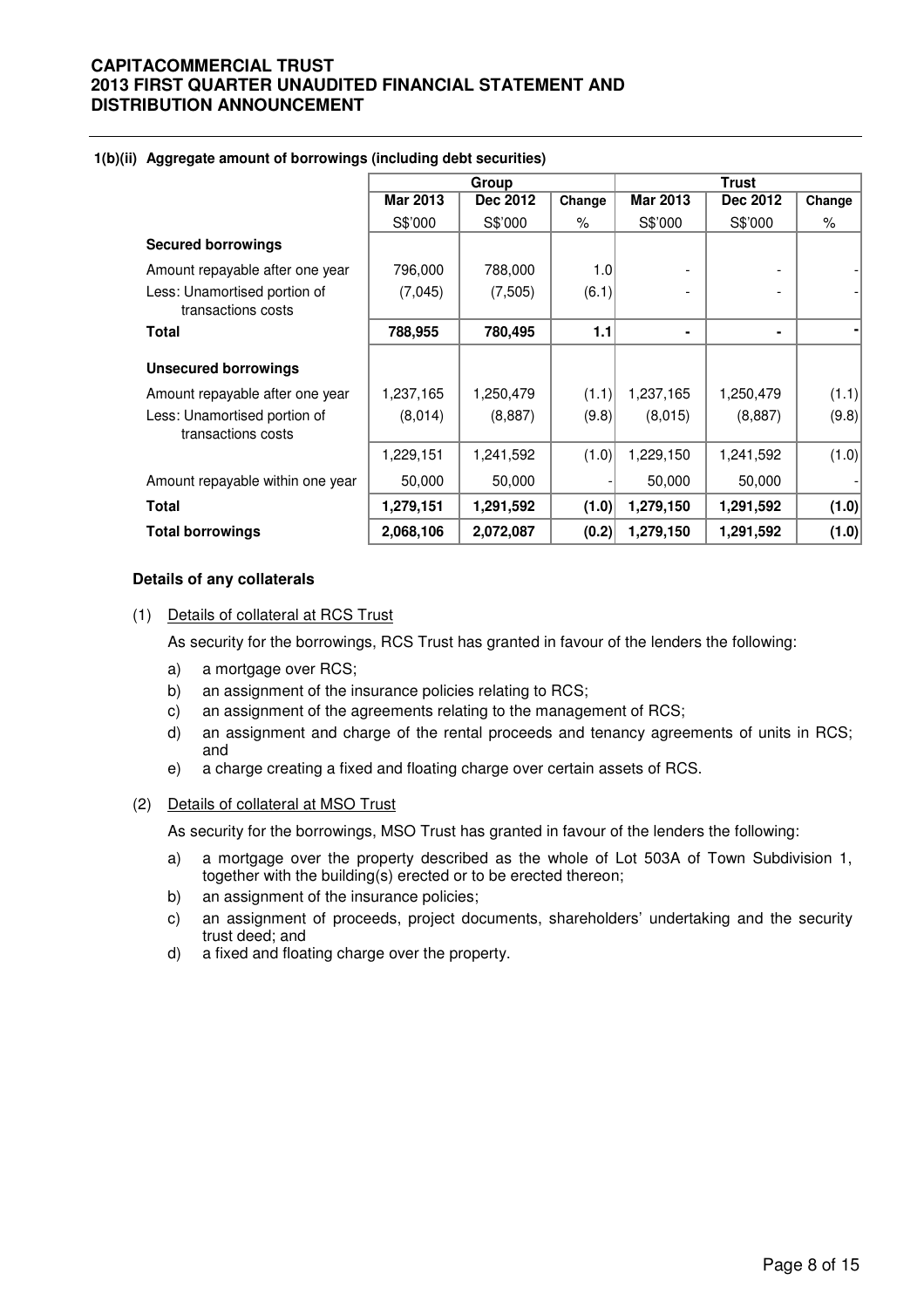|                                                    |                 | Group     |        |                 |           |        |  |  |  |  |
|----------------------------------------------------|-----------------|-----------|--------|-----------------|-----------|--------|--|--|--|--|
|                                                    | <b>Mar 2013</b> | Dec 2012  | Change | <b>Mar 2013</b> | Dec 2012  | Change |  |  |  |  |
|                                                    | S\$'000         | S\$'000   | %      | S\$'000         | S\$'000   | %      |  |  |  |  |
| <b>Secured borrowings</b>                          |                 |           |        |                 |           |        |  |  |  |  |
| Amount repayable after one year                    | 796,000         | 788,000   | 1.0    |                 |           |        |  |  |  |  |
| Less: Unamortised portion of<br>transactions costs | (7,045)         | (7,505)   | (6.1)  |                 |           |        |  |  |  |  |
| <b>Total</b>                                       | 788,955         | 780,495   | 1.1    |                 | ۰         |        |  |  |  |  |
| <b>Unsecured borrowings</b>                        |                 |           |        |                 |           |        |  |  |  |  |
| Amount repayable after one year                    | 1,237,165       | 1,250,479 | (1.1)  | 1,237,165       | 1,250,479 | (1.1)  |  |  |  |  |
| Less: Unamortised portion of<br>transactions costs | (8,014)         | (8,887)   | (9.8)  | (8,015)         | (8,887)   | (9.8)  |  |  |  |  |
|                                                    | 1,229,151       | 1,241,592 | (1.0)  | 1,229,150       | 1,241,592 | (1.0)  |  |  |  |  |
| Amount repayable within one year                   | 50,000          | 50,000    |        | 50,000          | 50,000    |        |  |  |  |  |
| <b>Total</b>                                       | 1,279,151       | 1,291,592 | (1.0)  | 1,279,150       | 1,291,592 | (1.0)  |  |  |  |  |
| <b>Total borrowings</b>                            | 2,068,106       | 2,072,087 | (0.2)  | 1,279,150       | 1,291,592 | (1.0)  |  |  |  |  |

#### **1(b)(ii) Aggregate amount of borrowings (including debt securities)**

#### **Details of any collaterals**

#### (1) Details of collateral at RCS Trust

As security for the borrowings, RCS Trust has granted in favour of the lenders the following:

- a) a mortgage over RCS;
- b) an assignment of the insurance policies relating to RCS;
- c) an assignment of the agreements relating to the management of RCS;
- d) an assignment and charge of the rental proceeds and tenancy agreements of units in RCS; and
- e) a charge creating a fixed and floating charge over certain assets of RCS.

## (2) Details of collateral at MSO Trust

As security for the borrowings, MSO Trust has granted in favour of the lenders the following:

- a) a mortgage over the property described as the whole of Lot 503A of Town Subdivision 1, together with the building(s) erected or to be erected thereon;
- b) an assignment of the insurance policies;
- c) an assignment of proceeds, project documents, shareholders' undertaking and the security trust deed; and
- d) a fixed and floating charge over the property.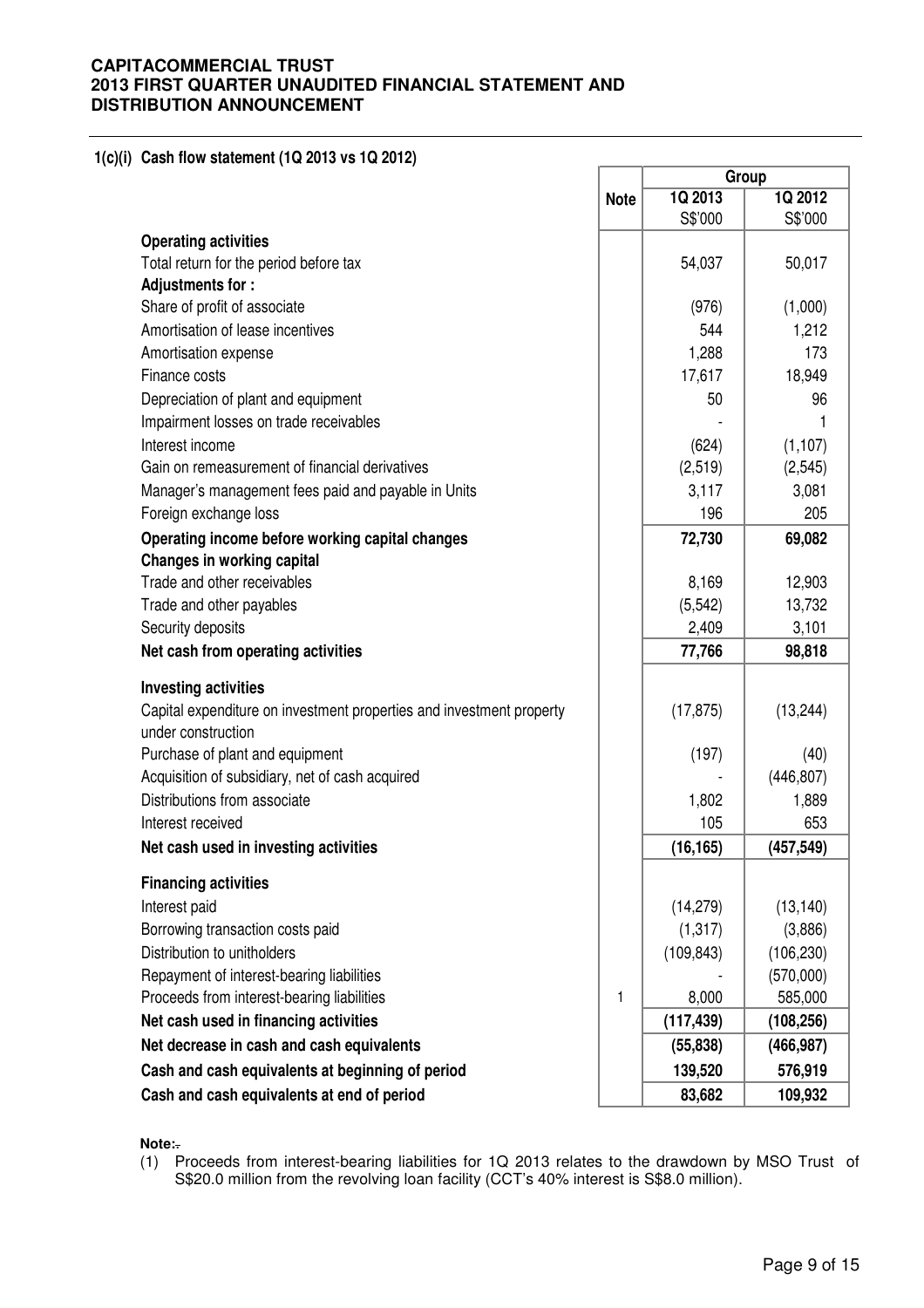## **1(c)(i) Cash flow statement (1Q 2013 vs 1Q 2012)**

|                                                                                            |             | Group              |                    |  |
|--------------------------------------------------------------------------------------------|-------------|--------------------|--------------------|--|
|                                                                                            | <b>Note</b> | 1Q 2013<br>S\$'000 | 1Q 2012<br>S\$'000 |  |
| <b>Operating activities</b>                                                                |             |                    |                    |  |
| Total return for the period before tax                                                     |             | 54,037             | 50,017             |  |
| Adjustments for:                                                                           |             |                    |                    |  |
| Share of profit of associate                                                               |             | (976)              | (1,000)            |  |
| Amortisation of lease incentives                                                           |             | 544                | 1,212              |  |
| Amortisation expense                                                                       |             | 1,288              | 173                |  |
| Finance costs                                                                              |             | 17,617             | 18,949             |  |
|                                                                                            |             | 50                 | 96                 |  |
| Depreciation of plant and equipment                                                        |             |                    |                    |  |
| Impairment losses on trade receivables                                                     |             |                    |                    |  |
| Interest income                                                                            |             | (624)              | (1, 107)           |  |
| Gain on remeasurement of financial derivatives                                             |             | (2, 519)           | (2, 545)           |  |
| Manager's management fees paid and payable in Units                                        |             | 3,117              | 3,081              |  |
| Foreign exchange loss                                                                      |             | 196                | 205                |  |
| Operating income before working capital changes<br>Changes in working capital              |             | 72,730             | 69,082             |  |
| Trade and other receivables                                                                |             | 8,169              | 12,903             |  |
| Trade and other payables                                                                   |             | (5, 542)           | 13,732             |  |
| Security deposits                                                                          |             | 2,409              | 3,101              |  |
| Net cash from operating activities                                                         |             | 77,766             | 98,818             |  |
|                                                                                            |             |                    |                    |  |
| <b>Investing activities</b>                                                                |             |                    |                    |  |
| Capital expenditure on investment properties and investment property<br>under construction |             | (17, 875)          | (13, 244)          |  |
| Purchase of plant and equipment                                                            |             | (197)              | (40)               |  |
| Acquisition of subsidiary, net of cash acquired                                            |             |                    | (446, 807)         |  |
| Distributions from associate                                                               |             | 1,802              | 1,889              |  |
| Interest received                                                                          |             | 105                | 653                |  |
| Net cash used in investing activities                                                      |             | (16, 165)          | (457, 549)         |  |
| <b>Financing activities</b>                                                                |             |                    |                    |  |
| Interest paid                                                                              |             | (14, 279)          | (13, 140)          |  |
| Borrowing transaction costs paid                                                           |             | (1, 317)           | (3,886)            |  |
| Distribution to unitholders                                                                |             | (109, 843)         | (106, 230)         |  |
| Repayment of interest-bearing liabilities                                                  |             |                    | (570,000)          |  |
| Proceeds from interest-bearing liabilities                                                 | 1           | 8,000              | 585,000            |  |
| Net cash used in financing activities                                                      |             | (117, 439)         | (108, 256)         |  |
| Net decrease in cash and cash equivalents                                                  |             | (55, 838)          | (466, 987)         |  |
| Cash and cash equivalents at beginning of period                                           |             | 139,520            | 576,919            |  |
| Cash and cash equivalents at end of period                                                 |             | 83,682             | 109,932            |  |

**Note:**.

(1) Proceeds from interest-bearing liabilities for 1Q 2013 relates to the drawdown by MSO Trust of S\$20.0 million from the revolving loan facility (CCT's 40% interest is S\$8.0 million).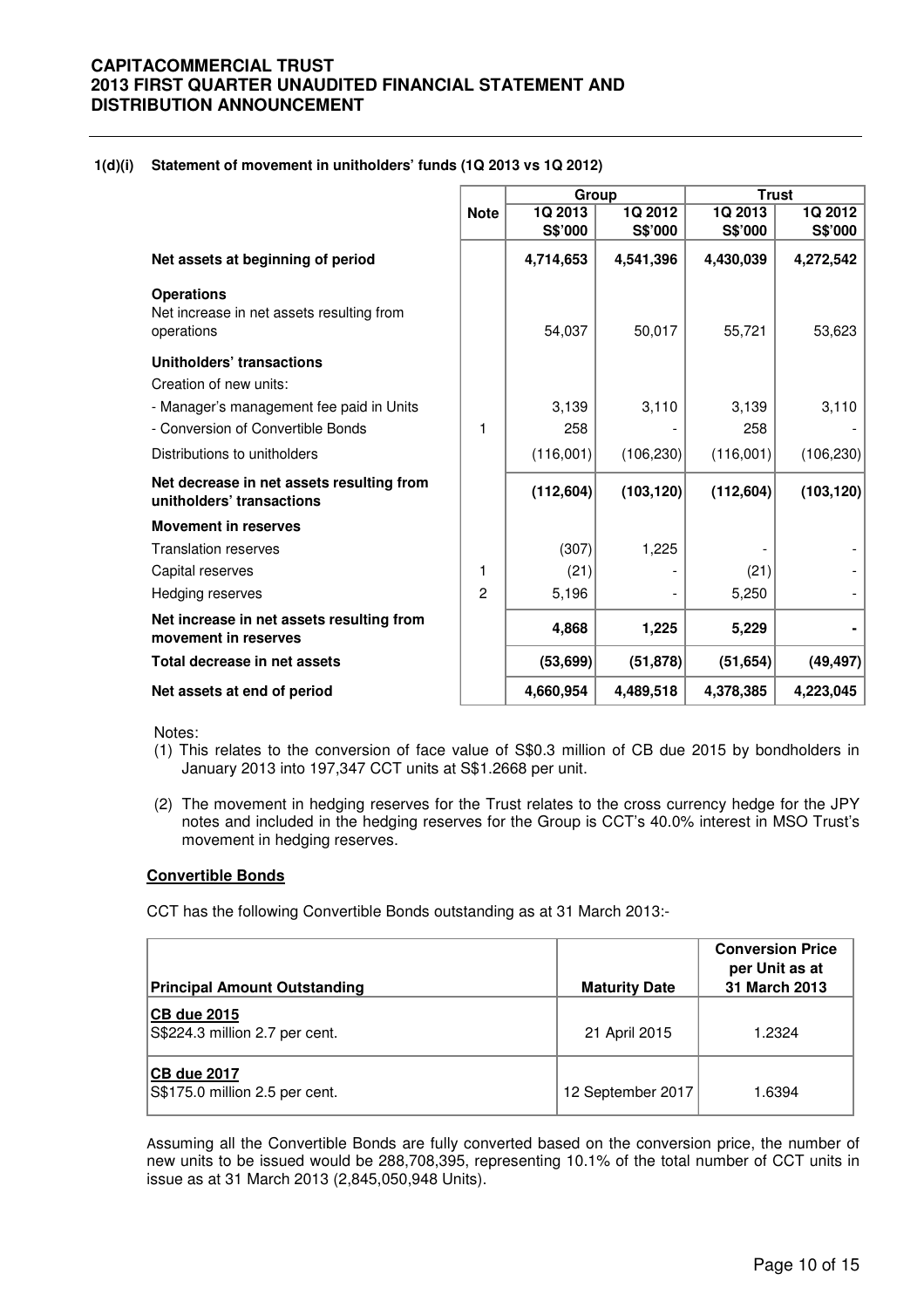#### **1(d)(i) Statement of movement in unitholders' funds (1Q 2013 vs 1Q 2012)**

|                                                                              |             | Group      |            | <b>Trust</b> |            |
|------------------------------------------------------------------------------|-------------|------------|------------|--------------|------------|
|                                                                              | <b>Note</b> | 1Q 2013    | 1Q 2012    | 1Q 2013      | 1Q 2012    |
|                                                                              |             | S\$'000    | S\$'000    | S\$'000      | S\$'000    |
| Net assets at beginning of period                                            |             | 4,714,653  | 4,541,396  | 4,430,039    | 4,272,542  |
| <b>Operations</b><br>Net increase in net assets resulting from<br>operations |             | 54,037     | 50,017     | 55,721       | 53,623     |
| Unitholders' transactions<br>Creation of new units:                          |             |            |            |              |            |
| - Manager's management fee paid in Units                                     |             | 3,139      | 3,110      | 3,139        | 3,110      |
| - Conversion of Convertible Bonds                                            | 1           | 258        |            | 258          |            |
| Distributions to unitholders                                                 |             | (116,001)  | (106, 230) | (116,001)    | (106, 230) |
| Net decrease in net assets resulting from<br>unitholders' transactions       |             | (112, 604) | (103, 120) | (112, 604)   | (103, 120) |
| <b>Movement in reserves</b>                                                  |             |            |            |              |            |
| <b>Translation reserves</b>                                                  |             | (307)      | 1,225      |              |            |
| Capital reserves                                                             | 1           | (21)       |            | (21)         |            |
| Hedging reserves                                                             | 2           | 5,196      |            | 5,250        |            |
| Net increase in net assets resulting from<br>movement in reserves            |             | 4,868      | 1,225      | 5,229        |            |
| Total decrease in net assets                                                 |             | (53, 699)  | (51, 878)  | (51, 654)    | (49, 497)  |
| Net assets at end of period                                                  |             | 4,660,954  | 4,489,518  | 4,378,385    | 4,223,045  |

Notes:

- (1) This relates to the conversion of face value of S\$0.3 million of CB due 2015 by bondholders in January 2013 into 197,347 CCT units at S\$1.2668 per unit.
- (2) The movement in hedging reserves for the Trust relates to the cross currency hedge for the JPY notes and included in the hedging reserves for the Group is CCT's 40.0% interest in MSO Trust's movement in hedging reserves.

### **Convertible Bonds**

CCT has the following Convertible Bonds outstanding as at 31 March 2013:-

| <b>Principal Amount Outstanding</b>                  | <b>Maturity Date</b> | <b>Conversion Price</b><br>per Unit as at<br>31 March 2013 |
|------------------------------------------------------|----------------------|------------------------------------------------------------|
| <b>CB due 2015</b><br>S\$224.3 million 2.7 per cent. | 21 April 2015        | 1.2324                                                     |
| CB due 2017<br>S\$175.0 million 2.5 per cent.        | 12 September 2017    | 1.6394                                                     |

Assuming all the Convertible Bonds are fully converted based on the conversion price, the number of new units to be issued would be 288,708,395, representing 10.1% of the total number of CCT units in issue as at 31 March 2013 (2,845,050,948 Units).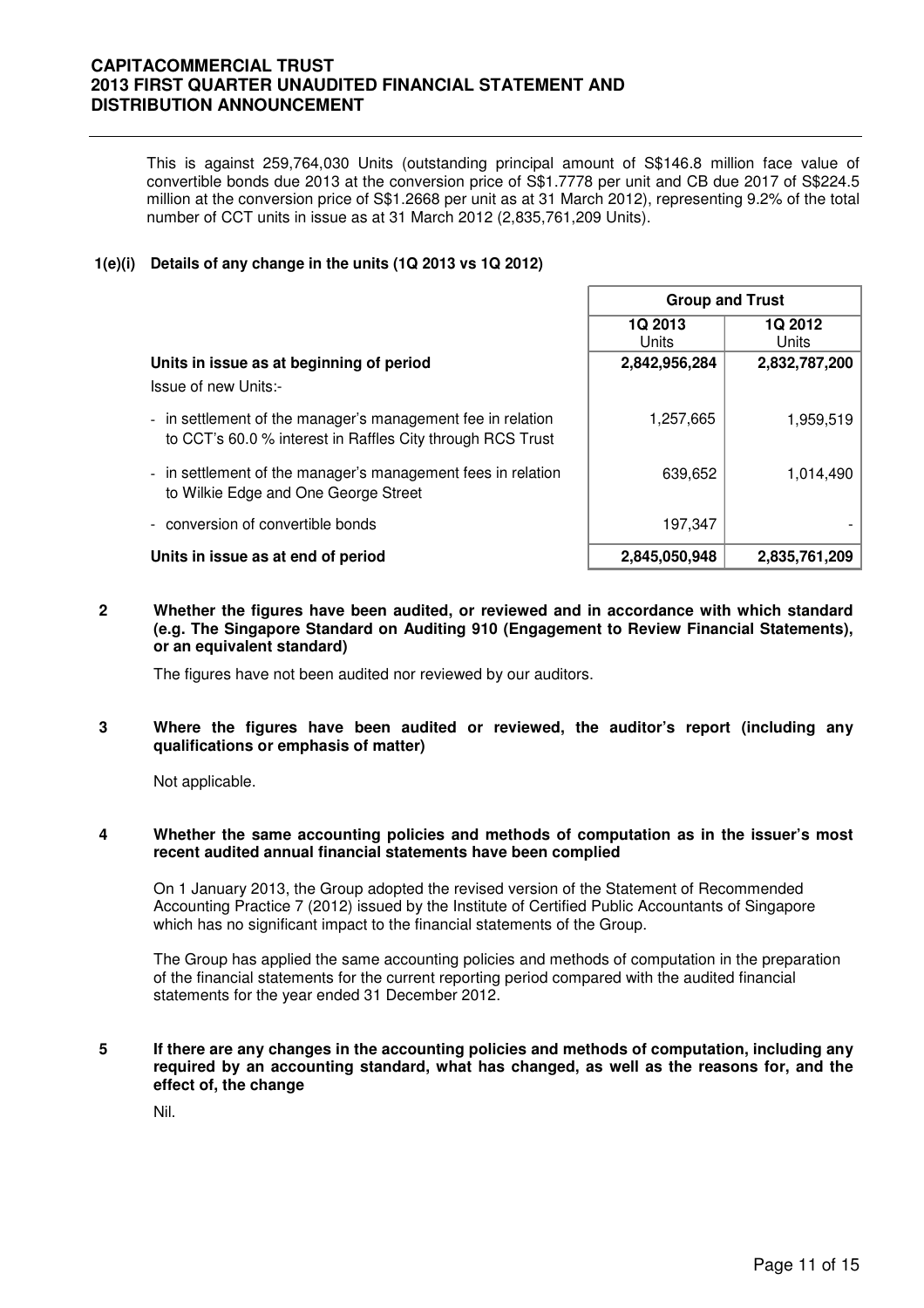This is against 259,764,030 Units (outstanding principal amount of S\$146.8 million face value of convertible bonds due 2013 at the conversion price of S\$1.7778 per unit and CB due 2017 of S\$224.5 million at the conversion price of S\$1.2668 per unit as at 31 March 2012), representing 9.2% of the total number of CCT units in issue as at 31 March 2012 (2,835,761,209 Units).

#### **1(e)(i) Details of any change in the units (1Q 2013 vs 1Q 2012)**

|                                                                                                                           | <b>Group and Trust</b> |                  |  |  |
|---------------------------------------------------------------------------------------------------------------------------|------------------------|------------------|--|--|
|                                                                                                                           | 1Q 2013<br>Units       | 1Q 2012<br>Units |  |  |
| Units in issue as at beginning of period<br>Issue of new Units:-                                                          | 2,842,956,284          | 2,832,787,200    |  |  |
| - in settlement of the manager's management fee in relation<br>to CCT's 60.0 % interest in Raffles City through RCS Trust | 1,257,665              | 1,959,519        |  |  |
| - in settlement of the manager's management fees in relation<br>to Wilkie Edge and One George Street                      | 639,652                | 1,014,490        |  |  |
| - conversion of convertible bonds                                                                                         | 197,347                |                  |  |  |
| Units in issue as at end of period                                                                                        | 2,845,050,948          | 2,835,761,209    |  |  |

**2 Whether the figures have been audited, or reviewed and in accordance with which standard (e.g. The Singapore Standard on Auditing 910 (Engagement to Review Financial Statements), or an equivalent standard)** 

The figures have not been audited nor reviewed by our auditors.

**3 Where the figures have been audited or reviewed, the auditor's report (including any qualifications or emphasis of matter)** 

Not applicable.

#### **4 Whether the same accounting policies and methods of computation as in the issuer's most recent audited annual financial statements have been complied**

On 1 January 2013, the Group adopted the revised version of the Statement of Recommended Accounting Practice 7 (2012) issued by the Institute of Certified Public Accountants of Singapore which has no significant impact to the financial statements of the Group.

The Group has applied the same accounting policies and methods of computation in the preparation of the financial statements for the current reporting period compared with the audited financial statements for the year ended 31 December 2012.

#### **5 If there are any changes in the accounting policies and methods of computation, including any required by an accounting standard, what has changed, as well as the reasons for, and the effect of, the change**

Nil.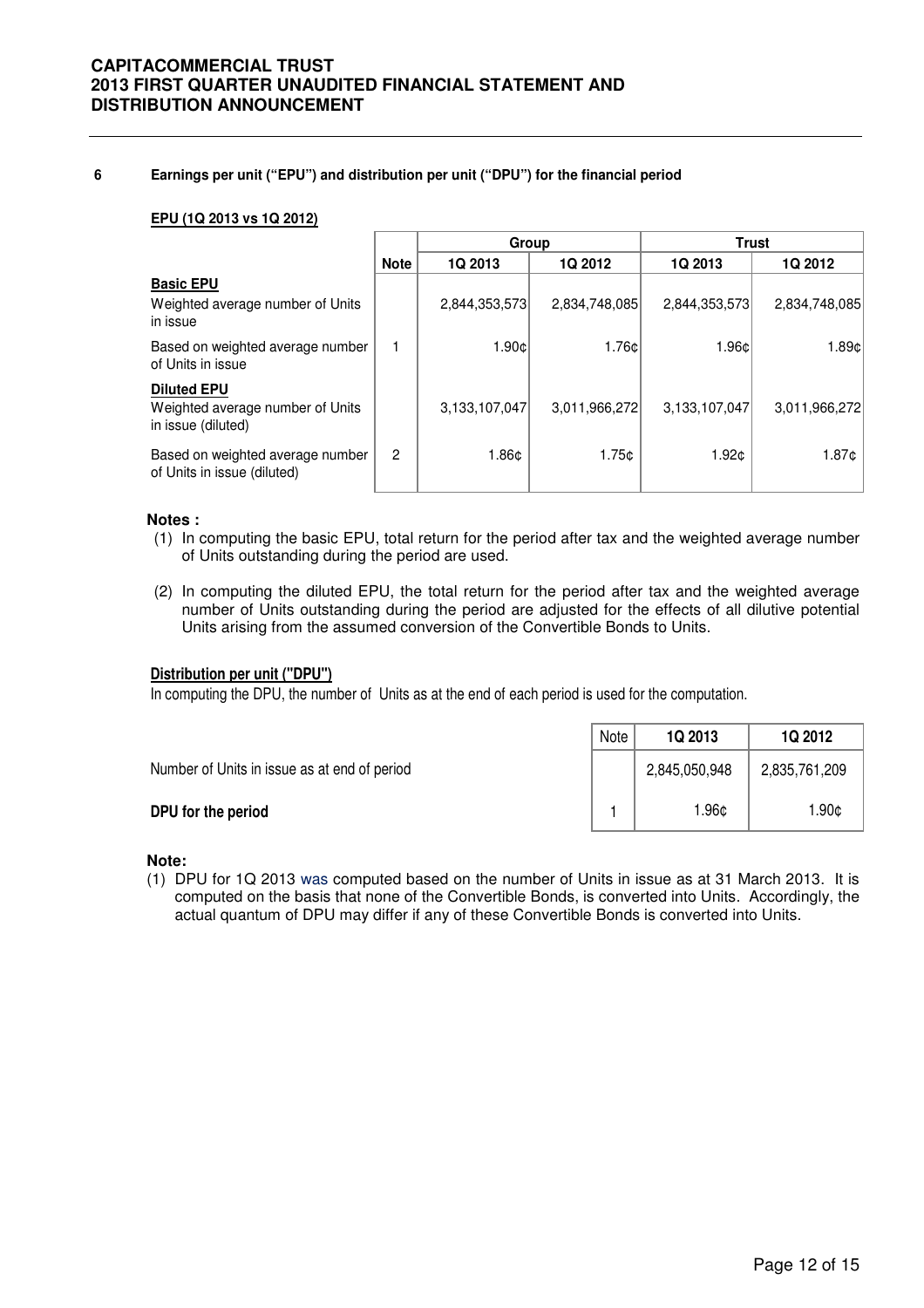#### **6 Earnings per unit ("EPU") and distribution per unit ("DPU") for the financial period**

#### **EPU (1Q 2013 vs 1Q 2012)**

|                                                                              |                | Group          |                 |               | <b>Trust</b>  |
|------------------------------------------------------------------------------|----------------|----------------|-----------------|---------------|---------------|
|                                                                              | <b>Note</b>    | <b>1Q 2013</b> | <b>1Q 2012</b>  | 1Q 2013       | 1Q 2012       |
| <b>Basic EPU</b><br>Weighted average number of Units<br>in issue             |                | 2,844,353,573  | 2,834,748,085   | 2,844,353,573 | 2,834,748,085 |
| Based on weighted average number<br>of Units in issue                        |                | 1.90¢          | $1.76 \text{C}$ | 1.96¢         | 1.89c         |
| <b>Diluted EPU</b><br>Weighted average number of Units<br>in issue (diluted) |                | 3,133,107,047  | 3,011,966,272   | 3,133,107,047 | 3,011,966,272 |
| Based on weighted average number<br>of Units in issue (diluted)              | $\overline{2}$ | 1.86¢          | 1.75c           | 1.92c         | 1.87¢         |

#### **Notes :**

- (1) In computing the basic EPU, total return for the period after tax and the weighted average number of Units outstanding during the period are used.
- (2) In computing the diluted EPU, the total return for the period after tax and the weighted average number of Units outstanding during the period are adjusted for the effects of all dilutive potential Units arising from the assumed conversion of the Convertible Bonds to Units.

### **Distribution per unit ("DPU")**

In computing the DPU, the number of Units as at the end of each period is used for the computation.

|                                              | Note | <b>1Q 2013</b> | <b>1Q 2012</b> |
|----------------------------------------------|------|----------------|----------------|
| Number of Units in issue as at end of period |      | 2,845,050,948  | 2,835,761,209  |
| DPU for the period                           |      | l.96¢          | 1.90¢          |

#### **Note:**

(1) DPU for 1Q 2013 was computed based on the number of Units in issue as at 31 March 2013. It is computed on the basis that none of the Convertible Bonds, is converted into Units. Accordingly, the actual quantum of DPU may differ if any of these Convertible Bonds is converted into Units.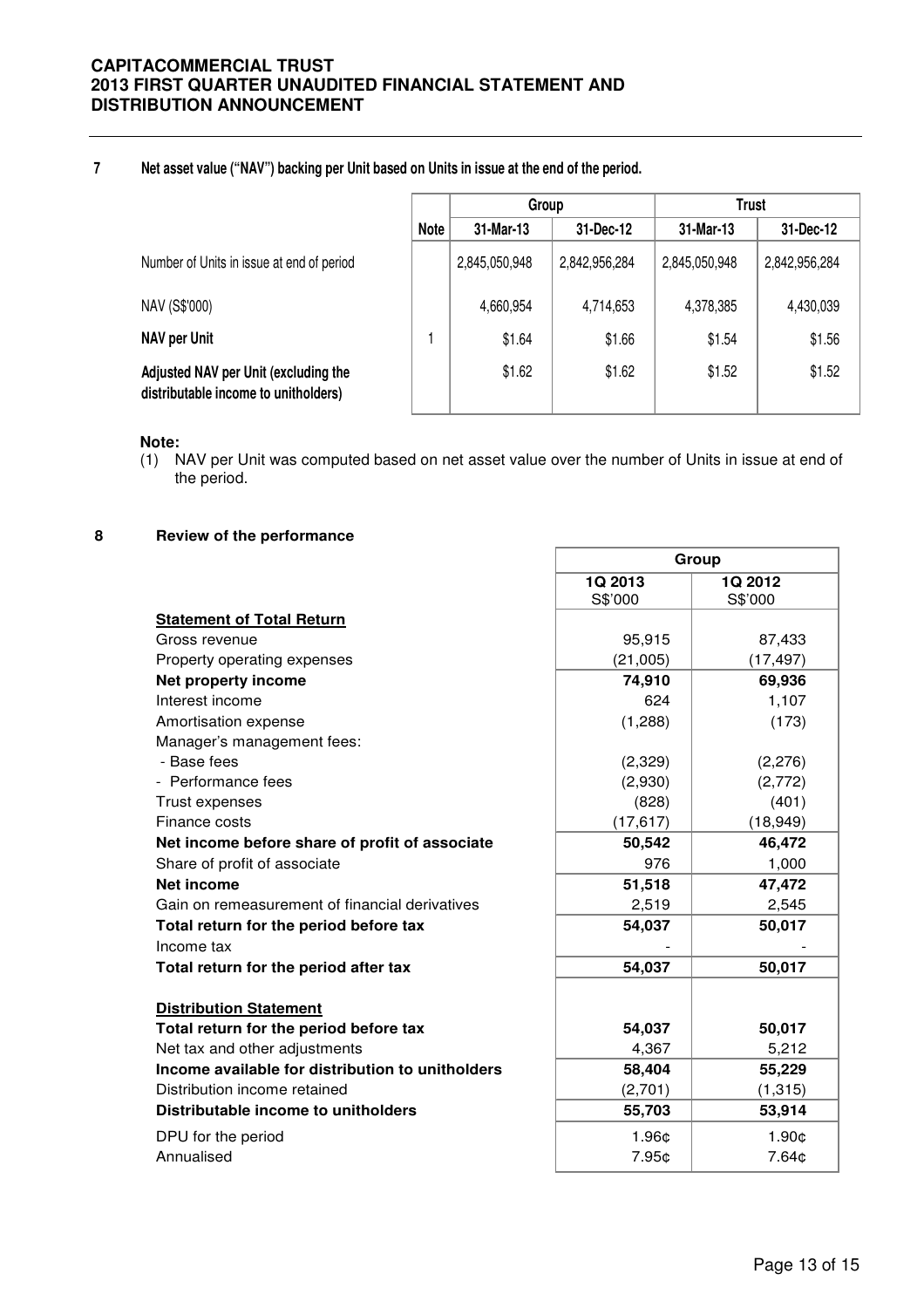#### **7 Net asset value ("NAV") backing per Unit based on Units in issue at the end of the period.**

|                                                                              |             | Group         |               | <b>Trust</b>  |               |
|------------------------------------------------------------------------------|-------------|---------------|---------------|---------------|---------------|
|                                                                              | <b>Note</b> | 31-Mar-13     | 31-Dec-12     | 31-Mar-13     | 31-Dec-12     |
| Number of Units in issue at end of period                                    |             | 2,845,050,948 | 2,842,956,284 | 2,845,050,948 | 2,842,956,284 |
| NAV (S\$'000)                                                                |             | 4,660,954     | 4,714,653     | 4,378,385     | 4,430,039     |
| NAV per Unit                                                                 |             | \$1.64        | \$1.66        | \$1.54        | \$1.56        |
| Adjusted NAV per Unit (excluding the<br>distributable income to unitholders) |             | \$1.62        | \$1.62        | \$1.52        | \$1.52        |

#### **Note:**

(1) NAV per Unit was computed based on net asset value over the number of Units in issue at end of the period.

Г

#### **8 Review of the performance**

|                                                  | Group     |           |  |  |
|--------------------------------------------------|-----------|-----------|--|--|
|                                                  | 1Q 2013   | 1Q 2012   |  |  |
|                                                  | S\$'000   | S\$'000   |  |  |
| <b>Statement of Total Return</b>                 |           |           |  |  |
| Gross revenue                                    | 95,915    | 87,433    |  |  |
| Property operating expenses                      | (21,005)  | (17, 497) |  |  |
| Net property income                              | 74,910    | 69,936    |  |  |
| Interest income                                  | 624       | 1,107     |  |  |
| Amortisation expense                             | (1,288)   | (173)     |  |  |
| Manager's management fees:                       |           |           |  |  |
| - Base fees                                      | (2,329)   | (2,276)   |  |  |
| - Performance fees                               | (2,930)   | (2,772)   |  |  |
| Trust expenses                                   | (828)     | (401)     |  |  |
| Finance costs                                    | (17, 617) | (18, 949) |  |  |
| Net income before share of profit of associate   | 50,542    | 46,472    |  |  |
| Share of profit of associate                     | 976       | 1,000     |  |  |
| <b>Net income</b>                                | 51,518    | 47,472    |  |  |
| Gain on remeasurement of financial derivatives   | 2,519     | 2,545     |  |  |
| Total return for the period before tax           | 54,037    | 50,017    |  |  |
| Income tax                                       |           |           |  |  |
| Total return for the period after tax            | 54,037    | 50,017    |  |  |
| <b>Distribution Statement</b>                    |           |           |  |  |
| Total return for the period before tax           | 54,037    | 50,017    |  |  |
| Net tax and other adjustments                    | 4,367     | 5,212     |  |  |
| Income available for distribution to unitholders | 58,404    | 55,229    |  |  |
| Distribution income retained                     | (2,701)   | (1, 315)  |  |  |
| Distributable income to unitholders              | 55,703    | 53,914    |  |  |
| DPU for the period                               | 1.96¢     | 1.90¢     |  |  |
| Annualised                                       | 7.95¢     | 7.64¢     |  |  |

٦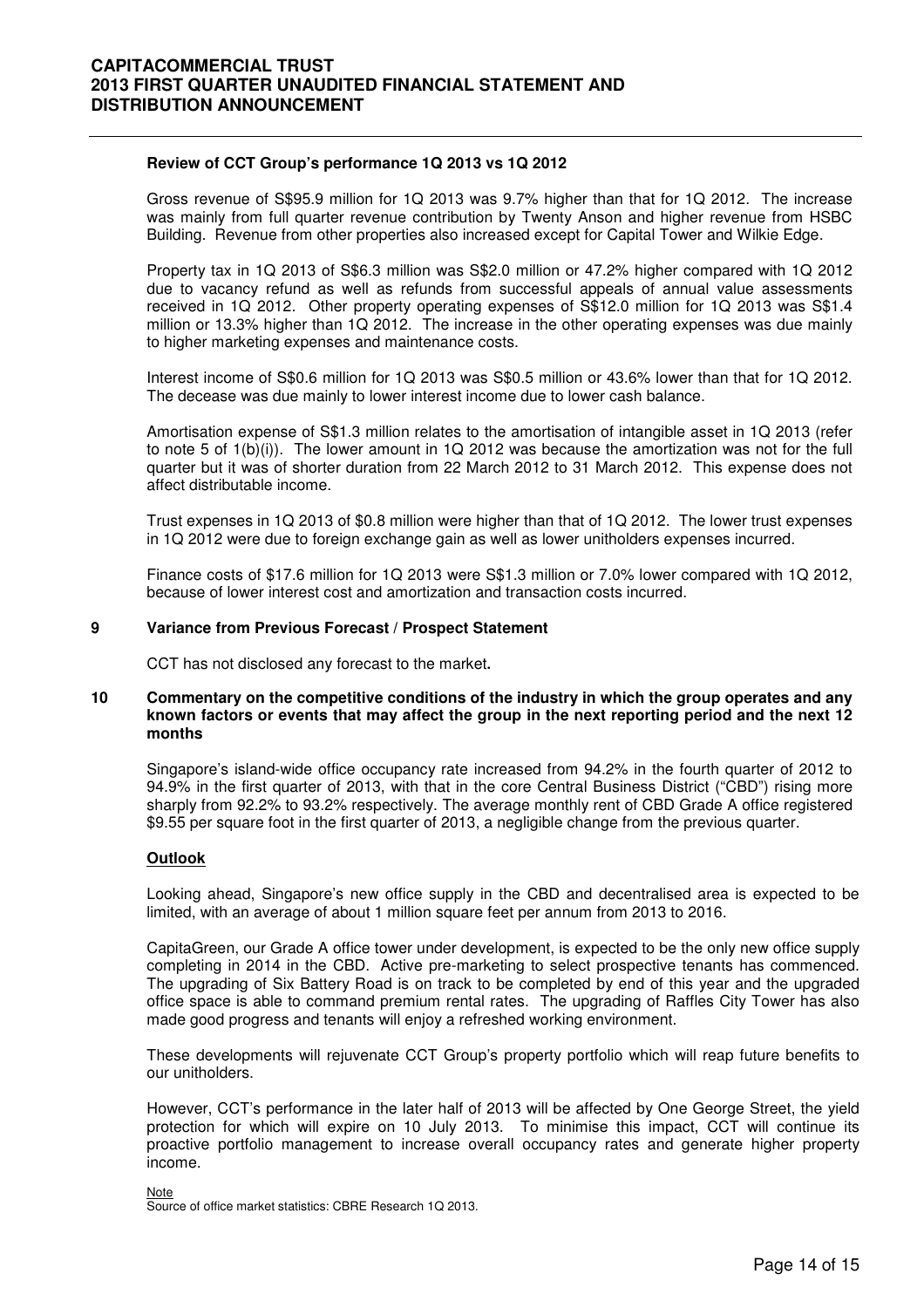#### **Review of CCT Group's performance 1Q 2013 vs 1Q 2012**

 Gross revenue of S\$95.9 million for 1Q 2013 was 9.7% higher than that for 1Q 2012. The increase was mainly from full quarter revenue contribution by Twenty Anson and higher revenue from HSBC Building. Revenue from other properties also increased except for Capital Tower and Wilkie Edge.

Property tax in 1Q 2013 of S\$6.3 million was S\$2.0 million or 47.2% higher compared with 1Q 2012 due to vacancy refund as well as refunds from successful appeals of annual value assessments received in 1Q 2012. Other property operating expenses of S\$12.0 million for 1Q 2013 was S\$1.4 million or 13.3% higher than 1Q 2012. The increase in the other operating expenses was due mainly to higher marketing expenses and maintenance costs.

Interest income of S\$0.6 million for 1Q 2013 was S\$0.5 million or 43.6% lower than that for 1Q 2012. The decease was due mainly to lower interest income due to lower cash balance.

Amortisation expense of S\$1.3 million relates to the amortisation of intangible asset in 1Q 2013 (refer to note 5 of 1(b)(i)). The lower amount in 1Q 2012 was because the amortization was not for the full quarter but it was of shorter duration from 22 March 2012 to 31 March 2012. This expense does not affect distributable income.

Trust expenses in 1Q 2013 of \$0.8 million were higher than that of 1Q 2012. The lower trust expenses in 1Q 2012 were due to foreign exchange gain as well as lower unitholders expenses incurred.

Finance costs of \$17.6 million for 1Q 2013 were S\$1.3 million or 7.0% lower compared with 1Q 2012, because of lower interest cost and amortization and transaction costs incurred.

#### **9 Variance from Previous Forecast / Prospect Statement**

CCT has not disclosed any forecast to the market**.** 

#### **10 Commentary on the competitive conditions of the industry in which the group operates and any known factors or events that may affect the group in the next reporting period and the next 12 months**

Singapore's island-wide office occupancy rate increased from 94.2% in the fourth quarter of 2012 to 94.9% in the first quarter of 2013, with that in the core Central Business District ("CBD") rising more sharply from 92.2% to 93.2% respectively. The average monthly rent of CBD Grade A office registered \$9.55 per square foot in the first quarter of 2013, a negligible change from the previous quarter.

#### **Outlook**

Looking ahead, Singapore's new office supply in the CBD and decentralised area is expected to be limited, with an average of about 1 million square feet per annum from 2013 to 2016.

CapitaGreen, our Grade A office tower under development, is expected to be the only new office supply completing in 2014 in the CBD. Active pre-marketing to select prospective tenants has commenced. The upgrading of Six Battery Road is on track to be completed by end of this year and the upgraded office space is able to command premium rental rates. The upgrading of Raffles City Tower has also made good progress and tenants will enjoy a refreshed working environment.

These developments will rejuvenate CCT Group's property portfolio which will reap future benefits to our unitholders.

However, CCT's performance in the later half of 2013 will be affected by One George Street, the yield protection for which will expire on 10 July 2013. To minimise this impact, CCT will continue its proactive portfolio management to increase overall occupancy rates and generate higher property income.

**Note** Source of office market statistics: CBRE Research 1Q 2013.